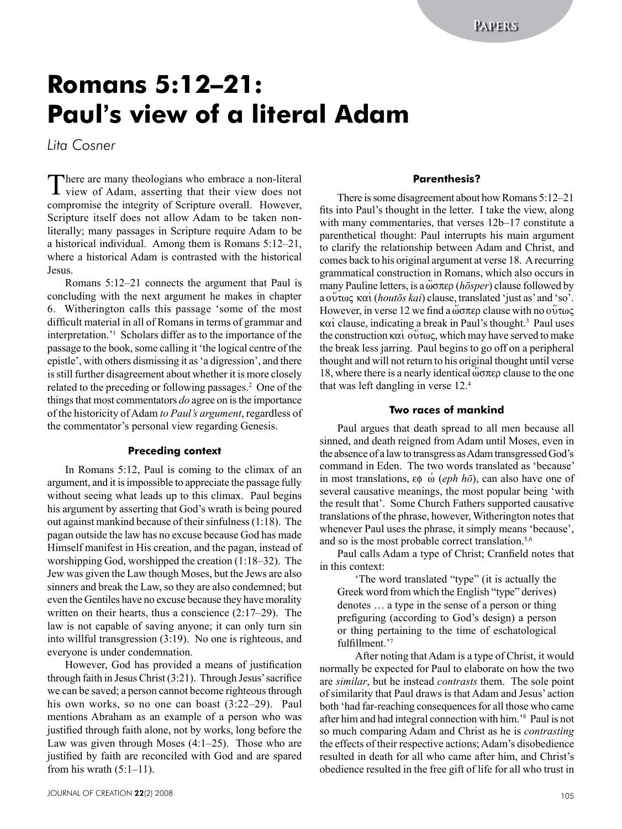# **Romans 5:12–21: Paul's view of a literal Adam**

*Lita Cosner* 

There are many theologians who embrace a non-literal view of Adam, asserting that their view does not compromise the integrity of Scripture overall. However, Scripture itself does not allow Adam to be taken nonliterally; many passages in Scripture require Adam to be a historical individual. Among them is Romans 5:12–21, where a historical Adam is contrasted with the historical Jesus.

Romans 5:12–21 connects the argument that Paul is concluding with the next argument he makes in chapter 6. Witherington calls this passage 'some of the most difficult material in all of Romans in terms of grammar and interpretation.'1 Scholars differ as to the importance of the passage to the book, some calling it 'the logical centre of the epistle', with others dismissing it as 'a digression', and there is still further disagreement about whether it is more closely related to the preceding or following passages.<sup>2</sup> One of the things that most commentators *do* agree on is the importance of the historicity of Adam *to Paul's argument*, regardless of the commentator's personal view regarding Genesis.

#### **Preceding context**

In Romans 5:12, Paul is coming to the climax of an argument, and it is impossible to appreciate the passage fully without seeing what leads up to this climax. Paul begins his argument by asserting that God's wrath is being poured out against mankind because of their sinfulness (1:18). The pagan outside the law has no excuse because God has made Himself manifest in His creation, and the pagan, instead of worshipping God, worshipped the creation (1:18–32). The Jew was given the Law though Moses, but the Jews are also sinners and break the Law, so they are also condemned; but even the Gentiles have no excuse because they have morality written on their hearts, thus a conscience (2:17–29). The law is not capable of saving anyone; it can only turn sin into willful transgression (3:19). No one is righteous, and everyone is under condemnation.

However, God has provided a means of justification through faith in Jesus Christ (3:21). Through Jesus' sacrifice we can be saved; a person cannot become righteous through his own works, so no one can boast  $(3:22-29)$ . Paul mentions Abraham as an example of a person who was justified through faith alone, not by works, long before the Law was given through Moses (4:1–25). Those who are justified by faith are reconciled with God and are spared from his wrath  $(5:1-11)$ .

# **Parenthesis?**

There is some disagreement about how Romans 5:12–21 fits into Paul's thought in the letter. I take the view, along with many commentaries, that verses 12b–17 constitute a parenthetical thought: Paul interrupts his main argument to clarify the relationship between Adam and Christ, and comes back to his original argument at verse 18. A recurring grammatical construction in Romans, which also occurs in many Pauline letters, is a ώσπερ (*hōsper*) clause followed by a  $\tilde{\text{o}}\tilde{\text{o}}\tilde{\text{v}}$   $\alpha\alpha'$  (*houtōs kai*) clause, translated 'just as' and 'so'. However, in verse 12 we find a  $\omega \sigma \pi \epsilon$  clause with no  $\omega \sigma \sigma \epsilon$  $\kappa \alpha'$  clause, indicating a break in Paul's thought.<sup>3</sup> Paul uses the construction  $\kappa \alpha i$  ov $\tau \omega \varsigma$ , which may have served to make the break less jarring. Paul begins to go off on a peripheral thought and will not return to his original thought until verse 18, where there is a nearly identical  $\omega \sigma \pi \epsilon$  clause to the one that was left dangling in verse 12.4

### **Two races of mankind**

Paul argues that death spread to all men because all sinned, and death reigned from Adam until Moses, even in the absence of a law to transgress as Adam transgressed God's command in Eden. The two words translated as 'because' in most translations,  $\varepsilon\phi$  *(eph hō*), can also have one of several causative meanings, the most popular being 'with the result that'. Some Church Fathers supported causative translations of the phrase, however, Witherington notes that whenever Paul uses the phrase, it simply means 'because', and so is the most probable correct translation.<sup>5,6</sup>

Paul calls Adam a type of Christ; Cranfield notes that in this context:

'The word translated "type" (it is actually the Greek word from which the English "type" derives) denotes … a type in the sense of a person or thing prefiguring (according to God's design) a person or thing pertaining to the time of eschatological fulfillment.'<sup>7</sup>

After noting that Adam is a type of Christ, it would normally be expected for Paul to elaborate on how the two are *similar*, but he instead *contrasts* them. The sole point of similarity that Paul draws is that Adam and Jesus' action both 'had far-reaching consequences for all those who came after him and had integral connection with him.'8 Paul is not so much comparing Adam and Christ as he is *contrasting* the effects of their respective actions; Adam's disobedience resulted in death for all who came after him, and Christ's obedience resulted in the free gift of life for all who trust in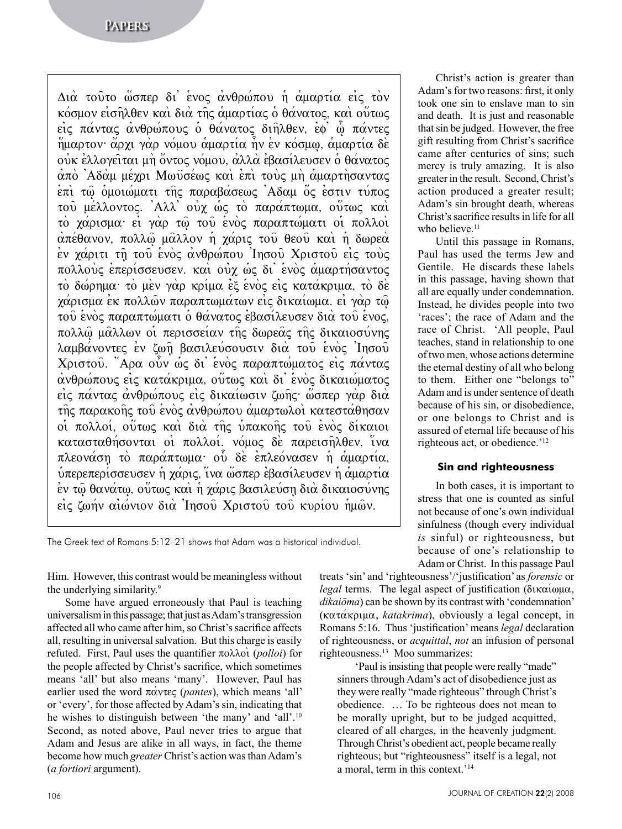Διά τούτο ώσπερ δι' ένος ανθρώπου ή αμαρτία είς τον κόσμον εισηλθεν και δια της αμαρτίας ο θάνατος, και ούτως εις πάντας ανθρώπους ο θάνατος διηλθεν, εφ ω πάντες ήμαρτον άρχι γαρ νόμου αμαρτία ήν εν κόσμω, αμαρτία δε oύκ ελλογείται μη όντος νόμου, αλλά εβασίλευσεν ο θάνατος από Αδάμ μέχρι Μωϋσέως και επι τους μη αμαρτήσαντας επι τω ομοιώματι της παραβάσεως Αδαμ ός εστιν τύπος του μέλλοντος. Άλλ' ούχ ως το παράπτωμα, ούτως και το χάρισμα εί γαρ τω του ενός παραπτώματι οι πολλοί απέθανον, πολλώ μάλλον ή χάρις του θεού και ή δωρεά εν χάριτι τη του ενός ανθρώπου Ίησου Χριστου είς τους πολλούς επερίσσευσεν. και ούχ ως δι' ενός αμαρτήσαντος το δώρημα το μεν γαρ κρίμα εξ ενος είς κατάκριμα, το δε γάρισμα εκ πολλών παραπτωμάτων εις δικαίωμα, εί γάρ τω του ενός παραπτώματι ο θάνατος εβασίλευσεν δια του ενος, πολλώ μάλλων οι περισσείαν της δωρεάς της δικαιοσύνης λαμβάνοντες εν ζωή βασιλεύσουσιν διά του ενός Ίησου Χριστού. "Αρα ούν ως δι' ενός παραπτώματος είς πάντας ανθρώπους είς κατάκριμα, ούτως και δι' ενός δικαιώματος είς πάντας ανθρώπους είς δικαίωσιν ζωης· ώσπερ γάρ διά της παρακοής του ενός ανθρώπου αμαρτωλοί κατεστάθησαν oi πολλοί, ούτως και δια της υπακοής του ένος δίκαιοι κατασταθήσονται οι πολλοί. νόμος δε παρεισηλθεν, ίνα πλεονάση το παράπτωμα ού δε επλεόνασεν ή αμαρτία,  $\tilde{\psi}$ περεπερίσσευσεν ή χάρις, ίνα ώσπερ εβασίλευσεν ή αμαρτία εν τω θανάτω, ούτως και η χάρις βασιλεύση δια δικαιοσύνης είς ζωήν αιώνιον διά Ίησου Χριστού του κυρίου ημών.

The Greek text of Romans 5:12–21 shows that Adam was a historical individual.

Him. However, this contrast would be meaningless without the underlying similarity.9

Some have argued erroneously that Paul is teaching universalism in this passage; that just as Adam's transgression affected all who came after him, so Christ's sacrifice affects all, resulting in universal salvation. But this charge is easily refuted. First, Paul uses the quantifier  $\pi \circ \lambda \circ \alpha$  (*polloi*) for the people affected by Christ's sacrifice, which sometimes means 'all' but also means 'many'. However, Paul has earlier used the word  $\pi\alpha$  *v*tes (*pantes*), which means 'all' or 'every', for those affected by Adam's sin, indicating that he wishes to distinguish between 'the many' and 'all'.<sup>10</sup> Second, as noted above, Paul never tries to argue that Adam and Jesus are alike in all ways, in fact, the theme become how much *greater* Christ's action was than Adam's (*a fortiori* argument).

Christ's action is greater than Adam's for two reasons: first, it only took one sin to enslave man to sin and death. It is just and reasonable that sin be judged. However, the free gift resulting from Christ's sacrifice came after centuries of sins; such mercy is truly amazing. It is also greater in the result. Second, Christ's action produced a greater result; Adam's sin brought death, whereas Christ's sacrifice results in life for all who believe.<sup>11</sup>

Until this passage in Romans, Paul has used the terms Jew and Gentile. He discards these labels in this passage, having shown that all are equally under condemnation. Instead, he divides people into two 'races'; the race of Adam and the race of Christ. 'All people, Paul teaches, stand in relationship to one of two men, whose actions determine the eternal destiny of all who belong to them. Either one "belongs to" Adam and is under sentence of death because of his sin, or disobedience, or one belongs to Christ and is assured of eternal life because of his righteous act, or obedience.'12

## **Sin and righteousness**

In both cases, it is important to stress that one is counted as sinful not because of one's own individual sinfulness (though every individual *is* sinful) or righteousness, but because of one's relationship to Adam or Christ. In this passage Paul

treats 'sin' and 'righteousness'/'justification' as *forensic* or *legal* terms. The legal aspect of justification ( $\delta \iota \kappa \alpha \iota \omega \mu \alpha$ , *dikaiōma*) can be shown by its contrast with 'condemnation'  $(\kappa \alpha \tau \alpha \kappa \rho \psi)$ , *katakrima*), obviously a legal concept, in Romans 5:16. Thus 'justification' means *legal* declaration of righteousness, or *acquittal*, *not* an infusion of personal righteousness.13 Moo summarizes:

'Paul is insisting that people were really "made" sinners through Adam's act of disobedience just as they were really "made righteous" through Christ's obedience. … To be righteous does not mean to be morally upright, but to be judged acquitted, cleared of all charges, in the heavenly judgment. Through Christ's obedient act, people became really righteous; but "righteousness" itself is a legal, not a moral, term in this context.'14